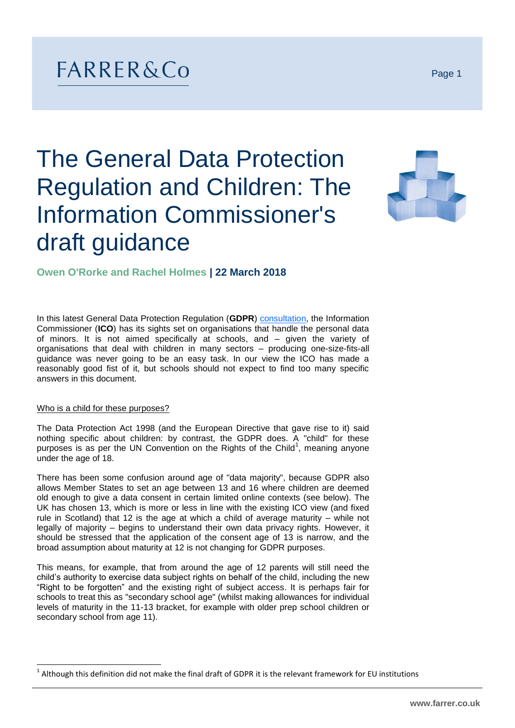# FARRER&Co

# The General Data Protection Regulation and Children: The Information Commissioner's draft guidance



**Owen O'Rorke and Rachel Holmes | 22 March 2018**

In this latest General Data Protection Regulation (**GDPR**) [consultation,](https://ico.org.uk/media/about-the-ico/consultations/2172913/children-and-the-gdpr-consultation-guidance-20171221.pdf) the Information Commissioner (**ICO**) has its sights set on organisations that handle the personal data of minors. It is not aimed specifically at schools, and – given the variety of organisations that deal with children in many sectors – producing one-size-fits-all guidance was never going to be an easy task. In our view the ICO has made a reasonably good fist of it, but schools should not expect to find too many specific answers in this document.

#### Who is a child for these purposes?

l

The Data Protection Act 1998 (and the European Directive that gave rise to it) said nothing specific about children: by contrast, the GDPR does. A "child" for these purposes is as per the UN Convention on the Rights of the Child<sup>1</sup>, meaning anyone under the age of 18.

There has been some confusion around age of "data majority", because GDPR also allows Member States to set an age between 13 and 16 where children are deemed old enough to give a data consent in certain limited online contexts (see below). The UK has chosen 13, which is more or less in line with the existing ICO view (and fixed rule in Scotland) that 12 is the age at which a child of average maturity – while not legally of majority – begins to understand their own data privacy rights. However, it should be stressed that the application of the consent age of 13 is narrow, and the broad assumption about maturity at 12 is not changing for GDPR purposes.

This means, for example, that from around the age of 12 parents will still need the child's authority to exercise data subject rights on behalf of the child, including the new "Right to be forgotten" and the existing right of subject access. It is perhaps fair for schools to treat this as "secondary school age" (whilst making allowances for individual levels of maturity in the 11-13 bracket, for example with older prep school children or secondary school from age 11).

Page 1

 $^1$  Although this definition did not make the final draft of GDPR it is the relevant framework for EU institutions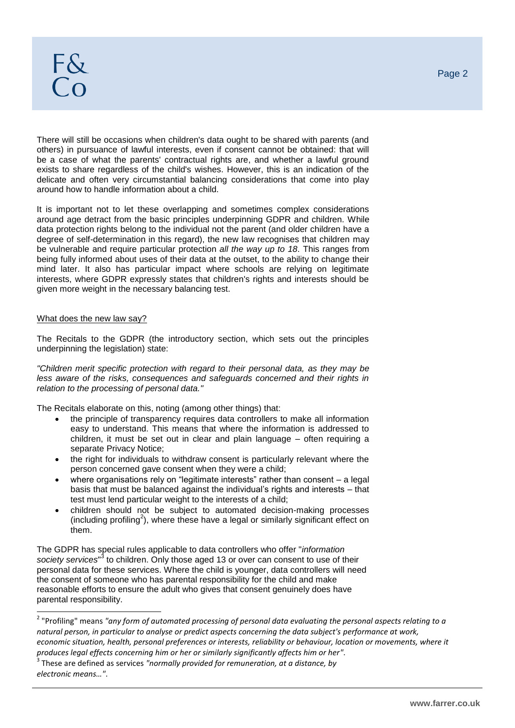There will still be occasions when children's data ought to be shared with parents (and others) in pursuance of lawful interests, even if consent cannot be obtained: that will be a case of what the parents' contractual rights are, and whether a lawful ground exists to share regardless of the child's wishes. However, this is an indication of the delicate and often very circumstantial balancing considerations that come into play around how to handle information about a child.

It is important not to let these overlapping and sometimes complex considerations around age detract from the basic principles underpinning GDPR and children. While data protection rights belong to the individual not the parent (and older children have a degree of self-determination in this regard), the new law recognises that children may be vulnerable and require particular protection *all the way up to 18*. This ranges from being fully informed about uses of their data at the outset, to the ability to change their mind later. It also has particular impact where schools are relying on legitimate interests, where GDPR expressly states that children's rights and interests should be given more weight in the necessary balancing test.

## What does the new law say?

The Recitals to the GDPR (the introductory section, which sets out the principles underpinning the legislation) state:

*"Children merit specific protection with regard to their personal data, as they may be less aware of the risks, consequences and safeguards concerned and their rights in relation to the processing of personal data."*

The Recitals elaborate on this, noting (among other things) that:

- the principle of transparency requires data controllers to make all information easy to understand. This means that where the information is addressed to children, it must be set out in clear and plain language – often requiring a separate Privacy Notice;
- the right for individuals to withdraw consent is particularly relevant where the person concerned gave consent when they were a child;
- where organisations rely on "legitimate interests" rather than consent a legal basis that must be balanced against the individual's rights and interests – that test must lend particular weight to the interests of a child;
- children should not be subject to automated decision-making processes  $(including<sup>2</sup>)$ , where these have a legal or similarly significant effect on them.

The GDPR has special rules applicable to data controllers who offer "*information*  society services<sup>"3</sup> to children. Only those aged 13 or over can consent to use of their personal data for these services. Where the child is younger, data controllers will need the consent of someone who has parental responsibility for the child and make reasonable efforts to ensure the adult who gives that consent genuinely does have parental responsibility.

 2 "Profiling" means *"any form of automated processing of personal data evaluating the personal aspects relating to a natural person, in particular to analyse or predict aspects concerning the data subject's performance at work, economic situation, health, personal preferences or interests, reliability or behaviour, location or movements, where it produces legal effects concerning him or her or similarly significantly affects him or her"*.

<sup>3</sup> These are defined as services *"normally provided for remuneration, at a distance, by electronic means…"*.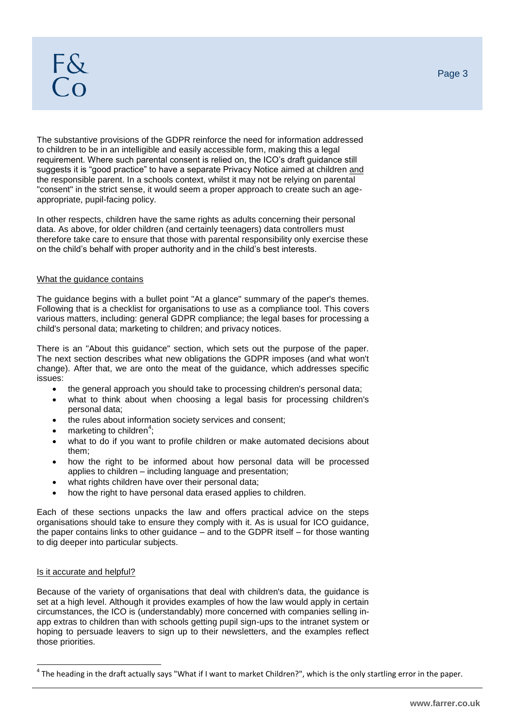The substantive provisions of the GDPR reinforce the need for information addressed to children to be in an intelligible and easily accessible form, making this a legal requirement. Where such parental consent is relied on, the ICO's draft guidance still suggests it is "good practice" to have a separate Privacy Notice aimed at children and the responsible parent. In a schools context, whilst it may not be relying on parental "consent" in the strict sense, it would seem a proper approach to create such an ageappropriate, pupil-facing policy.

In other respects, children have the same rights as adults concerning their personal data. As above, for older children (and certainly teenagers) data controllers must therefore take care to ensure that those with parental responsibility only exercise these on the child's behalf with proper authority and in the child's best interests.

#### What the guidance contains

The guidance begins with a bullet point "At a glance" summary of the paper's themes. Following that is a checklist for organisations to use as a compliance tool. This covers various matters, including: general GDPR compliance; the legal bases for processing a child's personal data; marketing to children; and privacy notices.

There is an "About this guidance" section, which sets out the purpose of the paper. The next section describes what new obligations the GDPR imposes (and what won't change). After that, we are onto the meat of the guidance, which addresses specific issues:

- the general approach you should take to processing children's personal data;
- what to think about when choosing a legal basis for processing children's personal data;
- the rules about information society services and consent;
- $\bullet$  marketing to children<sup>4</sup>;
- what to do if you want to profile children or make automated decisions about them;
- how the right to be informed about how personal data will be processed applies to children – including language and presentation;
- what rights children have over their personal data;
- how the right to have personal data erased applies to children.

Each of these sections unpacks the law and offers practical advice on the steps organisations should take to ensure they comply with it. As is usual for ICO guidance, the paper contains links to other guidance – and to the GDPR itself – for those wanting to dig deeper into particular subjects.

#### Is it accurate and helpful?

l

Because of the variety of organisations that deal with children's data, the guidance is set at a high level. Although it provides examples of how the law would apply in certain circumstances, the ICO is (understandably) more concerned with companies selling inapp extras to children than with schools getting pupil sign-ups to the intranet system or hoping to persuade leavers to sign up to their newsletters, and the examples reflect those priorities.

 $^4$  The heading in the draft actually says "What if I want to market Children?", which is the only startling error in the paper.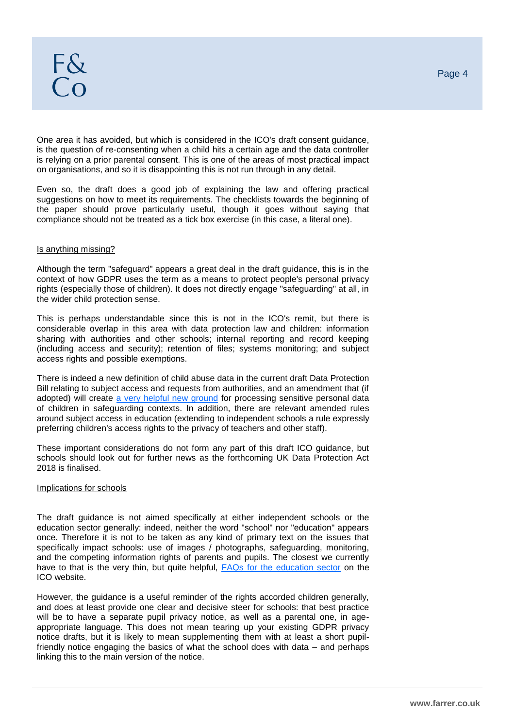One area it has avoided, but which is considered in the ICO's draft consent guidance, is the question of re-consenting when a child hits a certain age and the data controller is relying on a prior parental consent. This is one of the areas of most practical impact on organisations, and so it is disappointing this is not run through in any detail.

Even so, the draft does a good job of explaining the law and offering practical suggestions on how to meet its requirements. The checklists towards the beginning of the paper should prove particularly useful, though it goes without saying that compliance should not be treated as a tick box exercise (in this case, a literal one).

#### Is anything missing?

Although the term "safeguard" appears a great deal in the draft guidance, this is in the context of how GDPR uses the term as a means to protect people's personal privacy rights (especially those of children). It does not directly engage "safeguarding" at all, in the wider child protection sense.

This is perhaps understandable since this is not in the ICO's remit, but there is considerable overlap in this area with data protection law and children: information sharing with authorities and other schools; internal reporting and record keeping (including access and security); retention of files; systems monitoring; and subject access rights and possible exemptions.

There is indeed a new definition of child abuse data in the current draft Data Protection Bill relating to subject access and requests from authorities, and an amendment that (if adopted) will create [a very helpful new ground](https://www.farrer.co.uk/News/Briefings/Breaking-news-safeguarding-amendment-to-Data-Protection-Bill-/) for processing sensitive personal data of children in safeguarding contexts. In addition, there are relevant amended rules around subject access in education (extending to independent schools a rule expressly preferring children's access rights to the privacy of teachers and other staff).

These important considerations do not form any part of this draft ICO guidance, but schools should look out for further news as the forthcoming UK Data Protection Act 2018 is finalised.

#### Implications for schools

The draft guidance is not aimed specifically at either independent schools or the education sector generally: indeed, neither the word "school" nor "education" appears once. Therefore it is not to be taken as any kind of primary text on the issues that specifically impact schools: use of images / photographs, safeguarding, monitoring, and the competing information rights of parents and pupils. The closest we currently have to that is the very thin, but quite helpful, [FAQs for the education sector](https://ico.org.uk/for-organisations/education/education-gdpr-faqs/) on the ICO website.

However, the guidance is a useful reminder of the rights accorded children generally, and does at least provide one clear and decisive steer for schools: that best practice will be to have a separate pupil privacy notice, as well as a parental one, in ageappropriate language. This does not mean tearing up your existing GDPR privacy notice drafts, but it is likely to mean supplementing them with at least a short pupilfriendly notice engaging the basics of what the school does with data – and perhaps linking this to the main version of the notice.